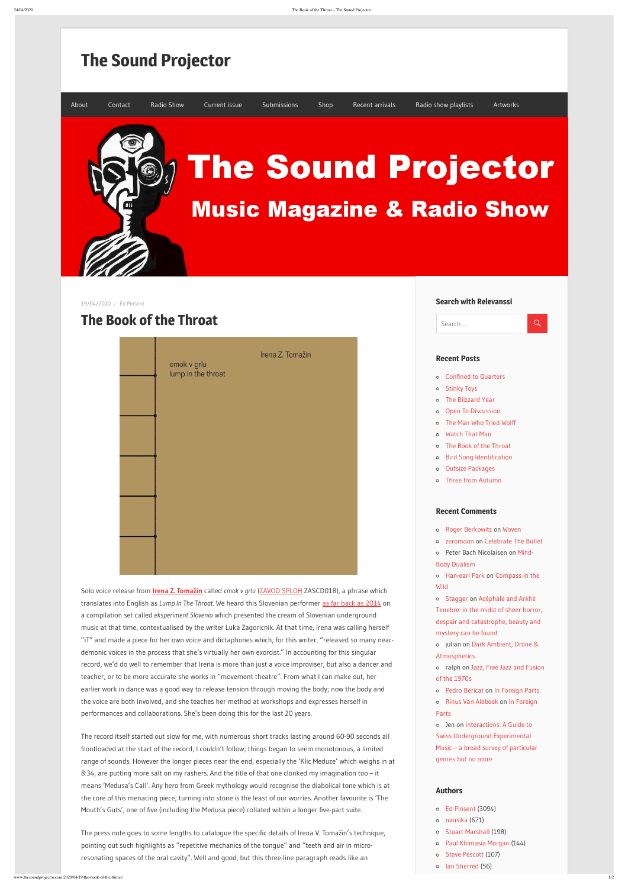| <b>About</b> | Contact                 | <b>Radio Show</b>             | Current issue      | <b>Submissions</b> | Shop | Recent arrivals | Radio show playlists                                                                                                                                                                                                                                                                                                                                                      | Artworks |
|--------------|-------------------------|-------------------------------|--------------------|--------------------|------|-----------------|---------------------------------------------------------------------------------------------------------------------------------------------------------------------------------------------------------------------------------------------------------------------------------------------------------------------------------------------------------------------------|----------|
|              |                         |                               |                    |                    |      |                 | The Sound Projector<br><b>Music Magazine &amp; Radio Show</b>                                                                                                                                                                                                                                                                                                             |          |
|              | 19/04/2020 / Ed Pinsent | <b>The Book of the Throat</b> |                    |                    |      |                 | <b>Search with Relevanssi</b><br>Search                                                                                                                                                                                                                                                                                                                                   | Q        |
|              |                         | cmok v grlu                   | lump in the throat | Irena Z. Tomažin   |      |                 | <b>Recent Posts</b><br><b>Confined to Quarters</b><br>$\circ$<br><b>Stinky Toys</b><br>$\circ$<br>The Blizzard Year<br>$\circ$<br><b>Open To Discussion</b><br>$\circ$<br>The Man Who Tried Wolff<br>$\circ$<br><b>Watch That Man</b><br>$\circ$<br>The Book of the Throat<br>$\circ$<br><b>Bird Song Identification</b><br>$\circ$<br><b>Outsize Packages</b><br>$\circ$ |          |



# **The Sound [Projector](http://www.thesoundprojector.com/)**

Solo voice release from **[Irena Z. Tomažin](https://it-irenatomazin.bandcamp.com/)** called *cmok v grlu* ([ZAVOD SPLOH](https://www.sploh.si/) ZASCD018), a phrase which translates into English as *Lump In The Throat*. We heard this Slovenian performer [as far back as 2014](http://www.thesoundprojector.com/2014/04/15/din-din/) on a compilation set called *eksperiment Slovenia* which presented the cream of Slovenian underground music at that time, contextualised by the writer Luka Zagoricnik. At that time, Irena was calling herself "iT" and made a piece for her own voice and dictaphones which, for this writer, "released so many neardemonic voices in the process that she's virtually her own exorcist." In accounting for this singular record, we'd do well to remember that Irena is more than just a voice improviser, but also a dancer and teacher; or to be more accurate she works in "movement theatre". From what I can make out, her earlier work in dance was a good way to release tension through moving the body; now the body and the voice are both involved, and she teaches her method at workshops and expresses herself in performances and collaborations. She's been doing this for the last 20 years.

The record itself started out slow for me, with numerous short tracks lasting around 60-90 seconds all frontloaded at the start of the record; I couldn't follow; things began to seem monotonous, a limited range of sounds. However the longer pieces near the end, especially the 'Klic Meduze' which weighs in at 8:34, are putting more salt on my rashers. And the title of that one clonked my imagination too – it means 'Medusa's Call'. Any hero from Greek mythology would recognise the diabolical tone which is at the core of this menacing piece; turning into stone is the least of our worries. Another favourite is 'The Mouth's Guts', one of five (including the Medusa piece) collated within a longer five-part suite.

The press note goes to some lengths to catalogue the specific details of Irena V. Tomažin's technique, pointing out such highlights as "repetitive mechanics of the tongue" and "teeth and air in microresonating spaces of the oral cavity". Well and good, but this three-line paragraph reads like an

### [Three from Autumn](http://www.thesoundprojector.com/2020/04/17/three-from-autumn/)

## **Recent Comments**

- [Roger Berkowitz](https://soundcloud.com/unearth-noise) on [Woven](http://www.thesoundprojector.com/2017/08/23/woven/comment-page-1/#comment-278807)
- [zeromoon](https://zeromoon.com/) on [Celebrate The Bullet](http://www.thesoundprojector.com/2020/03/29/celebrate-the-bullet/comment-page-1/#comment-278804)
- [Peter Bach Nicolaisen on](http://www.thesoundprojector.com/2020/02/23/mind-body-dualism/comment-page-1/#comment-278803) Mind-Body Dualism
- [H](http://www.thesoundprojector.com/2019/12/17/compass-in-the-wild/comment-page-1/#comment-278802)[an-earl Par](http://www.busterandfriends.com/)[k on](http://www.thesoundprojector.com/2019/12/17/compass-in-the-wild/comment-page-1/#comment-278802) Compass in the **Wild**
- [Stagger](https://thenoiseofsound.blogspot.com/) on Acéphale and Arkhé [Tenebre: in the midst of sheer horror,](http://www.thesoundprojector.com/2019/12/18/acephale-arkhe-tenebre/comment-page-1/#comment-278801) despair and catastrophe, beauty and mystery can be found
- julian on [Dark Ambient, Drone &](http://www.thesoundprojector.com/2019/11/22/dark-ambient-drone-atmospherics/comment-page-1/#comment-278798) Atmospherics
- ralph on [Jazz, Free Jazz and Fusion](http://www.thesoundprojector.com/2019/11/08/jazz-free-jazz-and-fusion-of-the-1970s/comment-page-1/#comment-278797) of the 1970s
- [Pedro Bericat](http://wwww.mutesound.org/) on [In Foreign Parts](http://www.thesoundprojector.com/2019/10/27/in-foreign-parts/comment-page-1/#comment-278794)
- [R](http://www.thesoundprojector.com/2019/10/27/in-foreign-parts/comment-page-1/#comment-278793)[inus Van Alebeek](http://staaltape.com/) [on](http://www.thesoundprojector.com/2019/10/27/in-foreign-parts/comment-page-1/#comment-278793) In Foreign Parts
- Jen on Interactions: A Guide to Swiss Underground Experimental [Music – a broad survey of particular](http://www.thesoundprojector.com/2019/10/17/interactions-a-guide-to-swiss-underground-experimental-music/comment-page-1/#comment-278792) genres but no more

# **Authors**

- [Ed Pinsent](http://www.thesoundprojector.com/author/editor/) (3094)
- [nausika](http://www.thesoundprojector.com/author/nausika/) (671)
- [Stuart Marshall](http://www.thesoundprojector.com/author/stuart-marshall/) (198)
- [Paul Khimasia Morgan](http://www.thesoundprojector.com/author/paul-khimasia-morgan/) (144)
- o [Steve Pescott](http://www.thesoundprojector.com/author/steve-pescott/) (107)
- [Ian Sherred](http://www.thesoundprojector.com/author/ian-sherred/) (56)